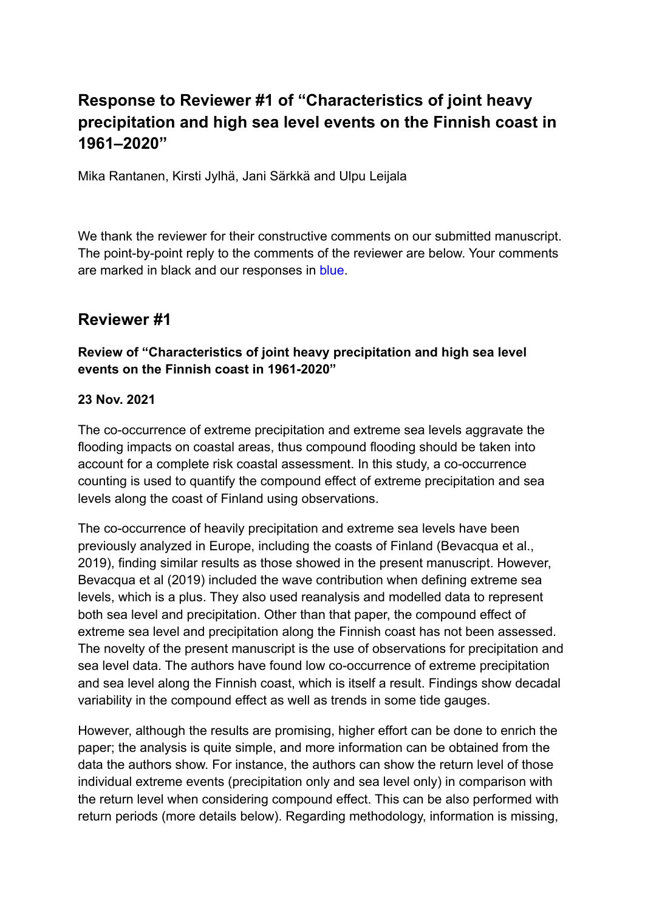# **Response to Reviewer #1 of "Characteristics of joint heavy precipitation and high sea level events on the Finnish coast in 1961–2020"**

Mika Rantanen, Kirsti Jylhä, Jani Särkkä and Ulpu Leijala

We thank the reviewer for their constructive comments on our submitted manuscript. The point-by-point reply to the comments of the reviewer are below. Your comments are marked in black and our responses in blue.

## **Reviewer #1**

### **Review of "Characteristics of joint heavy precipitation and high sea level events on the Finnish coast in 1961-2020"**

#### **23 Nov. 2021**

The co-occurrence of extreme precipitation and extreme sea levels aggravate the flooding impacts on coastal areas, thus compound flooding should be taken into account for a complete risk coastal assessment. In this study, a co-occurrence counting is used to quantify the compound effect of extreme precipitation and sea levels along the coast of Finland using observations.

The co-occurrence of heavily precipitation and extreme sea levels have been previously analyzed in Europe, including the coasts of Finland (Bevacqua et al., 2019), finding similar results as those showed in the present manuscript. However, Bevacqua et al (2019) included the wave contribution when defining extreme sea levels, which is a plus. They also used reanalysis and modelled data to represent both sea level and precipitation. Other than that paper, the compound effect of extreme sea level and precipitation along the Finnish coast has not been assessed. The novelty of the present manuscript is the use of observations for precipitation and sea level data. The authors have found low co-occurrence of extreme precipitation and sea level along the Finnish coast, which is itself a result. Findings show decadal variability in the compound effect as well as trends in some tide gauges.

However, although the results are promising, higher effort can be done to enrich the paper; the analysis is quite simple, and more information can be obtained from the data the authors show. For instance, the authors can show the return level of those individual extreme events (precipitation only and sea level only) in comparison with the return level when considering compound effect. This can be also performed with return periods (more details below). Regarding methodology, information is missing,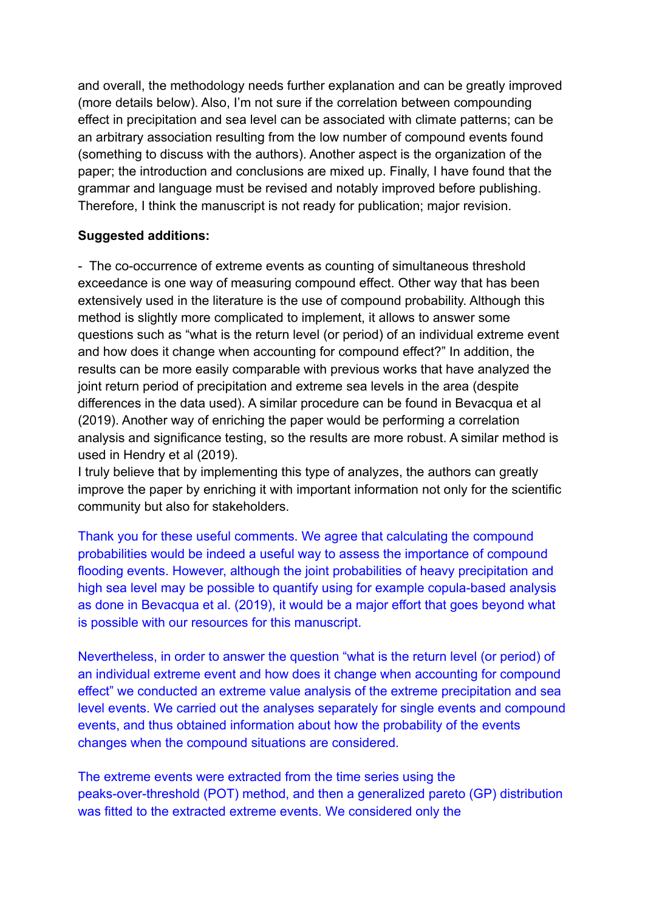and overall, the methodology needs further explanation and can be greatly improved (more details below). Also, I'm not sure if the correlation between compounding effect in precipitation and sea level can be associated with climate patterns; can be an arbitrary association resulting from the low number of compound events found (something to discuss with the authors). Another aspect is the organization of the paper; the introduction and conclusions are mixed up. Finally, I have found that the grammar and language must be revised and notably improved before publishing. Therefore, I think the manuscript is not ready for publication; major revision.

#### **Suggested additions:**

- The co-occurrence of extreme events as counting of simultaneous threshold exceedance is one way of measuring compound effect. Other way that has been extensively used in the literature is the use of compound probability. Although this method is slightly more complicated to implement, it allows to answer some questions such as "what is the return level (or period) of an individual extreme event and how does it change when accounting for compound effect?" In addition, the results can be more easily comparable with previous works that have analyzed the joint return period of precipitation and extreme sea levels in the area (despite differences in the data used). A similar procedure can be found in Bevacqua et al (2019). Another way of enriching the paper would be performing a correlation analysis and significance testing, so the results are more robust. A similar method is used in Hendry et al (2019).

I truly believe that by implementing this type of analyzes, the authors can greatly improve the paper by enriching it with important information not only for the scientific community but also for stakeholders.

Thank you for these useful comments. We agree that calculating the compound probabilities would be indeed a useful way to assess the importance of compound flooding events. However, although the joint probabilities of heavy precipitation and high sea level may be possible to quantify using for example copula-based analysis as done in Bevacqua et al. (2019), it would be a major effort that goes beyond what is possible with our resources for this manuscript.

Nevertheless, in order to answer the question "what is the return level (or period) of an individual extreme event and how does it change when accounting for compound effect" we conducted an extreme value analysis of the extreme precipitation and sea level events. We carried out the analyses separately for single events and compound events, and thus obtained information about how the probability of the events changes when the compound situations are considered.

The extreme events were extracted from the time series using the peaks-over-threshold (POT) method, and then a generalized pareto (GP) distribution was fitted to the extracted extreme events. We considered only the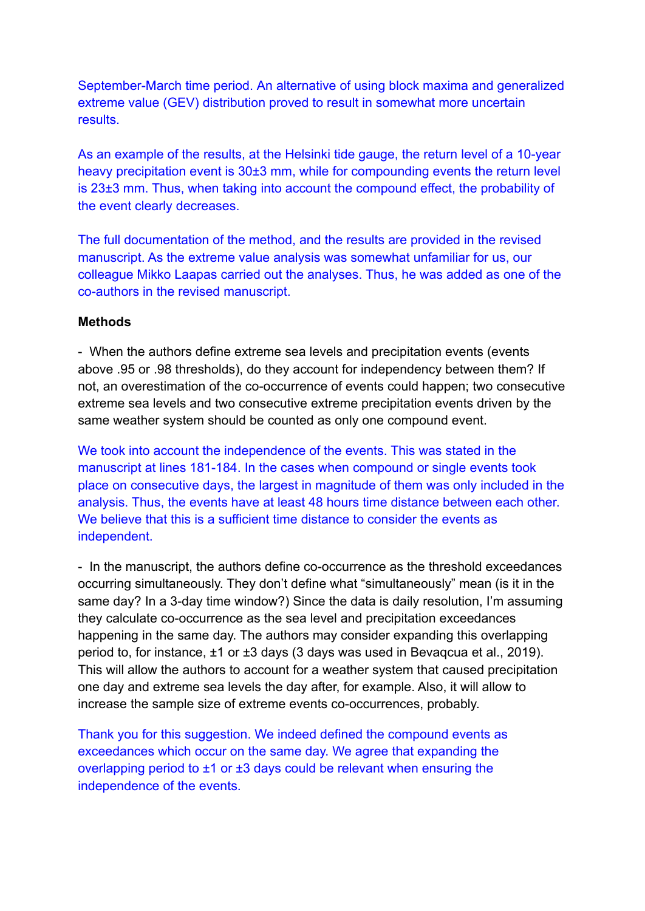September-March time period. An alternative of using block maxima and generalized extreme value (GEV) distribution proved to result in somewhat more uncertain results.

As an example of the results, at the Helsinki tide gauge, the return level of a 10-year heavy precipitation event is 30±3 mm, while for compounding events the return level is 23±3 mm. Thus, when taking into account the compound effect, the probability of the event clearly decreases.

The full documentation of the method, and the results are provided in the revised manuscript. As the extreme value analysis was somewhat unfamiliar for us, our colleague Mikko Laapas carried out the analyses. Thus, he was added as one of the co-authors in the revised manuscript.

#### **Methods**

- When the authors define extreme sea levels and precipitation events (events above .95 or .98 thresholds), do they account for independency between them? If not, an overestimation of the co-occurrence of events could happen; two consecutive extreme sea levels and two consecutive extreme precipitation events driven by the same weather system should be counted as only one compound event.

We took into account the independence of the events. This was stated in the manuscript at lines 181-184. In the cases when compound or single events took place on consecutive days, the largest in magnitude of them was only included in the analysis. Thus, the events have at least 48 hours time distance between each other. We believe that this is a sufficient time distance to consider the events as independent.

- In the manuscript, the authors define co-occurrence as the threshold exceedances occurring simultaneously. They don't define what "simultaneously" mean (is it in the same day? In a 3-day time window?) Since the data is daily resolution, I'm assuming they calculate co-occurrence as the sea level and precipitation exceedances happening in the same day. The authors may consider expanding this overlapping period to, for instance, ±1 or ±3 days (3 days was used in Bevaqcua et al., 2019). This will allow the authors to account for a weather system that caused precipitation one day and extreme sea levels the day after, for example. Also, it will allow to increase the sample size of extreme events co-occurrences, probably.

Thank you for this suggestion. We indeed defined the compound events as exceedances which occur on the same day. We agree that expanding the overlapping period to  $\pm 1$  or  $\pm 3$  days could be relevant when ensuring the independence of the events.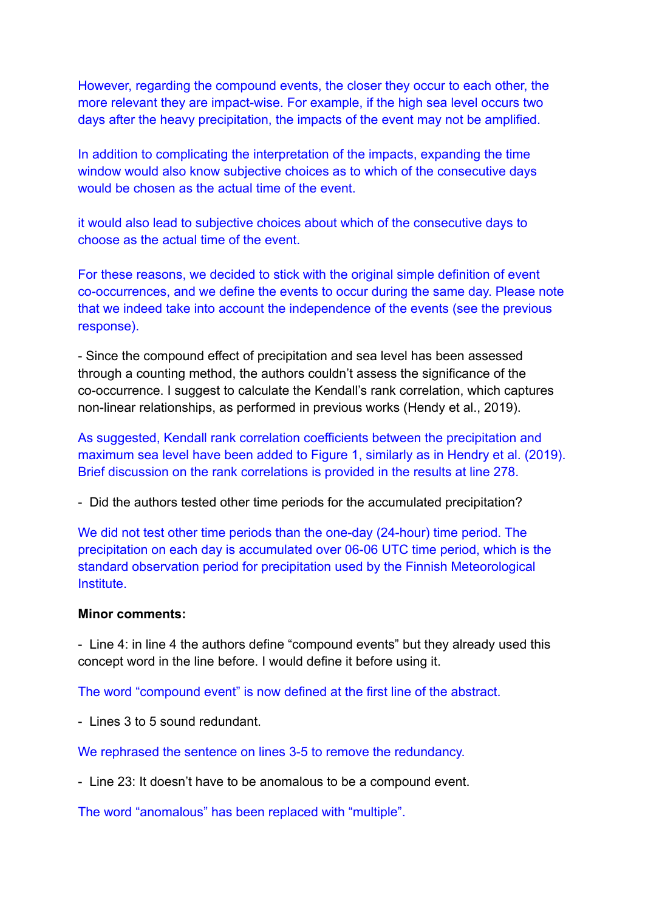However, regarding the compound events, the closer they occur to each other, the more relevant they are impact-wise. For example, if the high sea level occurs two days after the heavy precipitation, the impacts of the event may not be amplified.

In addition to complicating the interpretation of the impacts, expanding the time window would also know subjective choices as to which of the consecutive days would be chosen as the actual time of the event.

it would also lead to subjective choices about which of the consecutive days to choose as the actual time of the event.

For these reasons, we decided to stick with the original simple definition of event co-occurrences, and we define the events to occur during the same day. Please note that we indeed take into account the independence of the events (see the previous response).

- Since the compound effect of precipitation and sea level has been assessed through a counting method, the authors couldn't assess the significance of the co-occurrence. I suggest to calculate the Kendall's rank correlation, which captures non-linear relationships, as performed in previous works (Hendy et al., 2019).

As suggested, Kendall rank correlation coefficients between the precipitation and maximum sea level have been added to Figure 1, similarly as in Hendry et al. (2019). Brief discussion on the rank correlations is provided in the results at line 278.

- Did the authors tested other time periods for the accumulated precipitation?

We did not test other time periods than the one-day (24-hour) time period. The precipitation on each day is accumulated over 06-06 UTC time period, which is the standard observation period for precipitation used by the Finnish Meteorological Institute.

#### **Minor comments:**

- Line 4: in line 4 the authors define "compound events" but they already used this concept word in the line before. I would define it before using it.

The word "compound event" is now defined at the first line of the abstract.

- Lines 3 to 5 sound redundant.

We rephrased the sentence on lines 3-5 to remove the redundancy.

- Line 23: It doesn't have to be anomalous to be a compound event.

The word "anomalous" has been replaced with "multiple".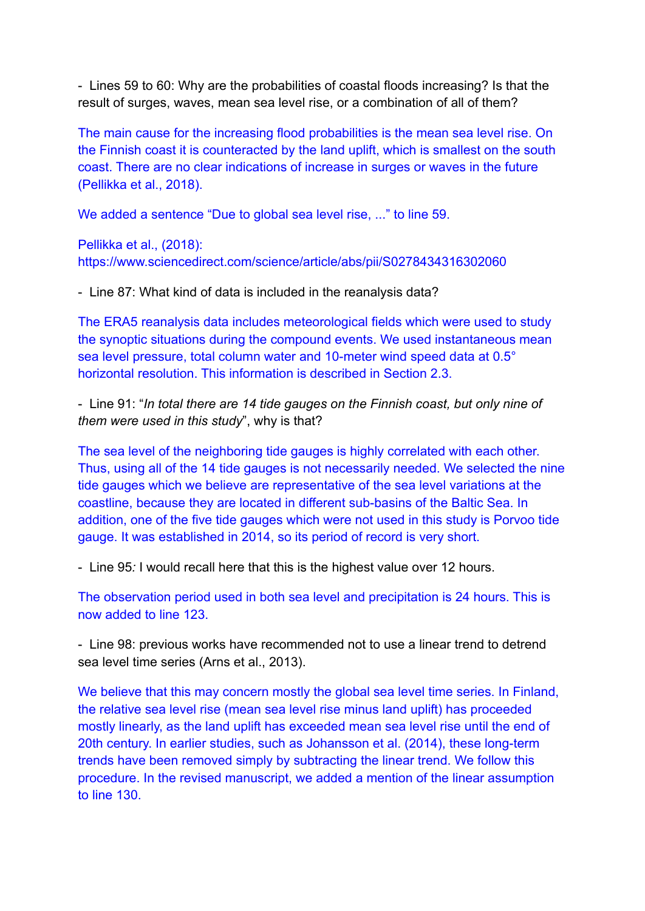- Lines 59 to 60: Why are the probabilities of coastal floods increasing? Is that the result of surges, waves, mean sea level rise, or a combination of all of them?

The main cause for the increasing flood probabilities is the mean sea level rise. On the Finnish coast it is counteracted by the land uplift, which is smallest on the south coast. There are no clear indications of increase in surges or waves in the future (Pellikka et al., 2018).

We added a sentence "Due to global sea level rise, ..." to line 59.

Pellikka et al., (2018): https://www.sciencedirect.com/science/article/abs/pii/S0278434316302060

- Line 87: What kind of data is included in the reanalysis data?

The ERA5 reanalysis data includes meteorological fields which were used to study the synoptic situations during the compound events. We used instantaneous mean sea level pressure, total column water and 10-meter wind speed data at 0.5° horizontal resolution. This information is described in Section 2.3.

- Line 91: "*In total there are 14 tide gauges on the Finnish coast, but only nine of them were used in this study*", why is that?

The sea level of the neighboring tide gauges is highly correlated with each other. Thus, using all of the 14 tide gauges is not necessarily needed. We selected the nine tide gauges which we believe are representative of the sea level variations at the coastline, because they are located in different sub-basins of the Baltic Sea. In addition, one of the five tide gauges which were not used in this study is Porvoo tide gauge. It was established in 2014, so its period of record is very short.

- Line 95*:* I would recall here that this is the highest value over 12 hours.

The observation period used in both sea level and precipitation is 24 hours. This is now added to line 123.

- Line 98: previous works have recommended not to use a linear trend to detrend sea level time series (Arns et al., 2013).

We believe that this may concern mostly the global sea level time series. In Finland, the relative sea level rise (mean sea level rise minus land uplift) has proceeded mostly linearly, as the land uplift has exceeded mean sea level rise until the end of 20th century. In earlier studies, such as Johansson et al. (2014), these long-term trends have been removed simply by subtracting the linear trend. We follow this procedure. In the revised manuscript, we added a mention of the linear assumption to line 130.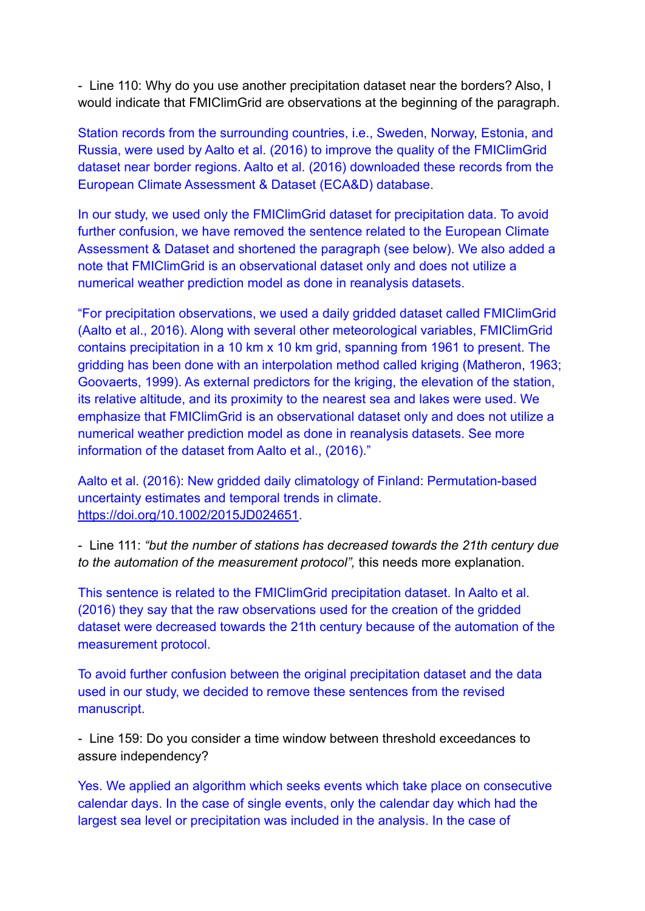- Line 110: Why do you use another precipitation dataset near the borders? Also, I would indicate that FMIClimGrid are observations at the beginning of the paragraph.

Station records from the surrounding countries, i.e., Sweden, Norway, Estonia, and Russia, were used by Aalto et al. (2016) to improve the quality of the FMIClimGrid dataset near border regions. Aalto et al. (2016) downloaded these records from the European Climate Assessment & Dataset (ECA&D) database.

In our study, we used only the FMIClimGrid dataset for precipitation data. To avoid further confusion, we have removed the sentence related to the European Climate Assessment & Dataset and shortened the paragraph (see below). We also added a note that FMIClimGrid is an observational dataset only and does not utilize a numerical weather prediction model as done in reanalysis datasets.

"For precipitation observations, we used a daily gridded dataset called FMIClimGrid (Aalto et al., 2016). Along with several other meteorological variables, FMIClimGrid contains precipitation in a 10 km x 10 km grid, spanning from 1961 to present. The gridding has been done with an interpolation method called kriging (Matheron, 1963; Goovaerts, 1999). As external predictors for the kriging, the elevation of the station, its relative altitude, and its proximity to the nearest sea and lakes were used. We emphasize that FMIClimGrid is an observational dataset only and does not utilize a numerical weather prediction model as done in reanalysis datasets. See more information of the dataset from Aalto et al., (2016)."

Aalto et al. (2016): New gridded daily climatology of Finland: Permutation-based uncertainty estimates and temporal trends in climate. <https://doi.org/10.1002/2015JD024651>.

- Line 111: *"but the number of stations has decreased towards the 21th century due to the automation of the measurement protocol",* this needs more explanation.

This sentence is related to the FMIClimGrid precipitation dataset. In Aalto et al. (2016) they say that the raw observations used for the creation of the gridded dataset were decreased towards the 21th century because of the automation of the measurement protocol.

To avoid further confusion between the original precipitation dataset and the data used in our study, we decided to remove these sentences from the revised manuscript.

- Line 159: Do you consider a time window between threshold exceedances to assure independency?

Yes. We applied an algorithm which seeks events which take place on consecutive calendar days. In the case of single events, only the calendar day which had the largest sea level or precipitation was included in the analysis. In the case of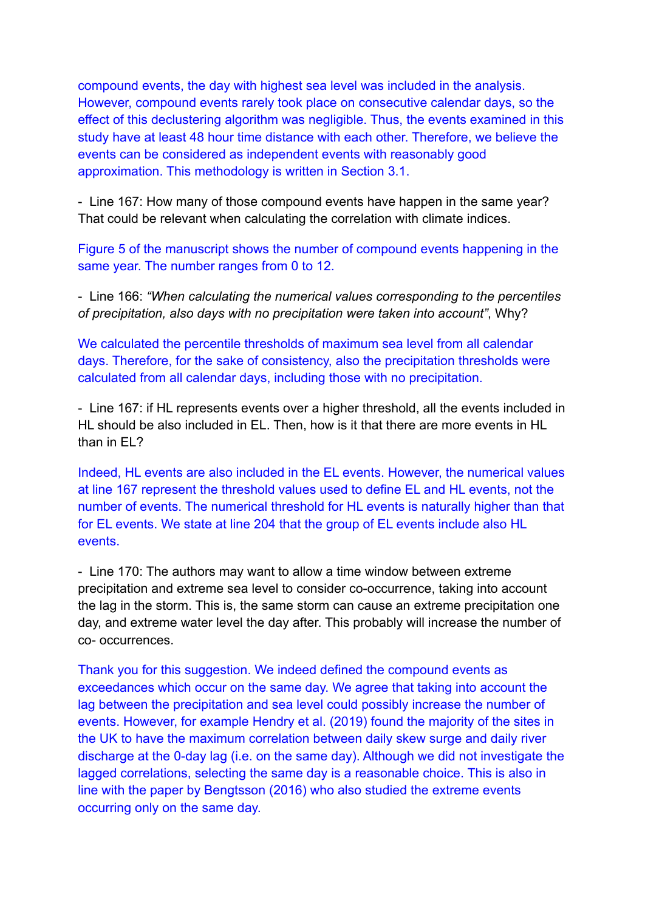compound events, the day with highest sea level was included in the analysis. However, compound events rarely took place on consecutive calendar days, so the effect of this declustering algorithm was negligible. Thus, the events examined in this study have at least 48 hour time distance with each other. Therefore, we believe the events can be considered as independent events with reasonably good approximation. This methodology is written in Section 3.1.

- Line 167: How many of those compound events have happen in the same year? That could be relevant when calculating the correlation with climate indices.

Figure 5 of the manuscript shows the number of compound events happening in the same year. The number ranges from 0 to 12.

- Line 166: *"When calculating the numerical values corresponding to the percentiles of precipitation, also days with no precipitation were taken into account"*, Why?

We calculated the percentile thresholds of maximum sea level from all calendar days. Therefore, for the sake of consistency, also the precipitation thresholds were calculated from all calendar days, including those with no precipitation.

- Line 167: if HL represents events over a higher threshold, all the events included in HL should be also included in EL. Then, how is it that there are more events in HL than in EL?

Indeed, HL events are also included in the EL events. However, the numerical values at line 167 represent the threshold values used to define EL and HL events, not the number of events. The numerical threshold for HL events is naturally higher than that for EL events. We state at line 204 that the group of EL events include also HL events.

- Line 170: The authors may want to allow a time window between extreme precipitation and extreme sea level to consider co-occurrence, taking into account the lag in the storm. This is, the same storm can cause an extreme precipitation one day, and extreme water level the day after. This probably will increase the number of co- occurrences.

Thank you for this suggestion. We indeed defined the compound events as exceedances which occur on the same day. We agree that taking into account the lag between the precipitation and sea level could possibly increase the number of events. However, for example Hendry et al. (2019) found the majority of the sites in the UK to have the maximum correlation between daily skew surge and daily river discharge at the 0-day lag (i.e. on the same day). Although we did not investigate the lagged correlations, selecting the same day is a reasonable choice. This is also in line with the paper by Bengtsson (2016) who also studied the extreme events occurring only on the same day.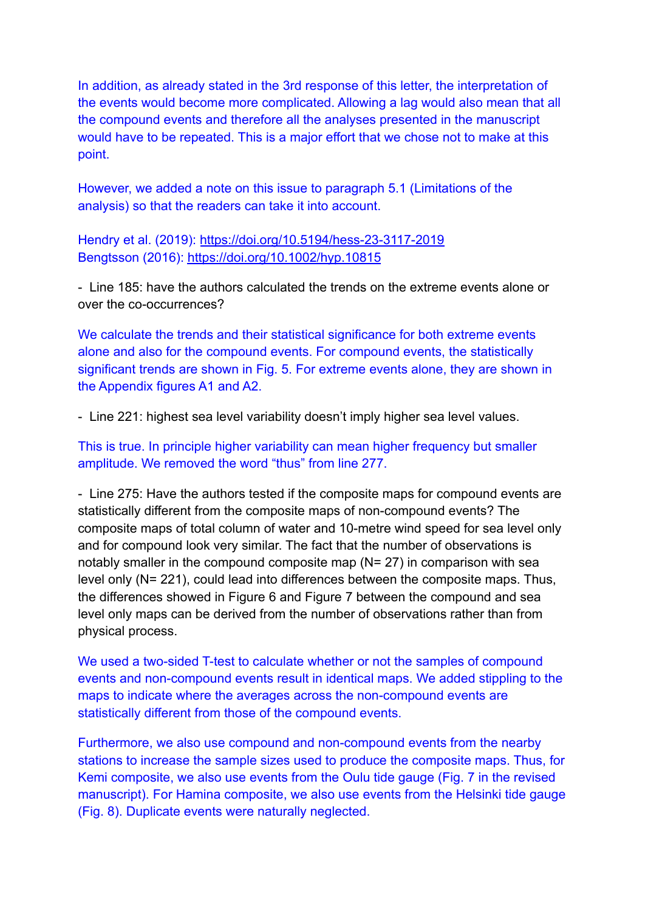In addition, as already stated in the 3rd response of this letter, the interpretation of the events would become more complicated. Allowing a lag would also mean that all the compound events and therefore all the analyses presented in the manuscript would have to be repeated. This is a major effort that we chose not to make at this point.

However, we added a note on this issue to paragraph 5.1 (Limitations of the analysis) so that the readers can take it into account.

Hendry et al. (2019): <https://doi.org/10.5194/hess-23-3117-2019> Bengtsson (2016): <https://doi.org/10.1002/hyp.10815>

- Line 185: have the authors calculated the trends on the extreme events alone or over the co-occurrences?

We calculate the trends and their statistical significance for both extreme events alone and also for the compound events. For compound events, the statistically significant trends are shown in Fig. 5. For extreme events alone, they are shown in the Appendix figures A1 and A2.

- Line 221: highest sea level variability doesn't imply higher sea level values.

This is true. In principle higher variability can mean higher frequency but smaller amplitude. We removed the word "thus" from line 277.

- Line 275: Have the authors tested if the composite maps for compound events are statistically different from the composite maps of non-compound events? The composite maps of total column of water and 10-metre wind speed for sea level only and for compound look very similar. The fact that the number of observations is notably smaller in the compound composite map (N= 27) in comparison with sea level only (N= 221), could lead into differences between the composite maps. Thus, the differences showed in Figure 6 and Figure 7 between the compound and sea level only maps can be derived from the number of observations rather than from physical process.

We used a two-sided T-test to calculate whether or not the samples of compound events and non-compound events result in identical maps. We added stippling to the maps to indicate where the averages across the non-compound events are statistically different from those of the compound events.

Furthermore, we also use compound and non-compound events from the nearby stations to increase the sample sizes used to produce the composite maps. Thus, for Kemi composite, we also use events from the Oulu tide gauge (Fig. 7 in the revised manuscript). For Hamina composite, we also use events from the Helsinki tide gauge (Fig. 8). Duplicate events were naturally neglected.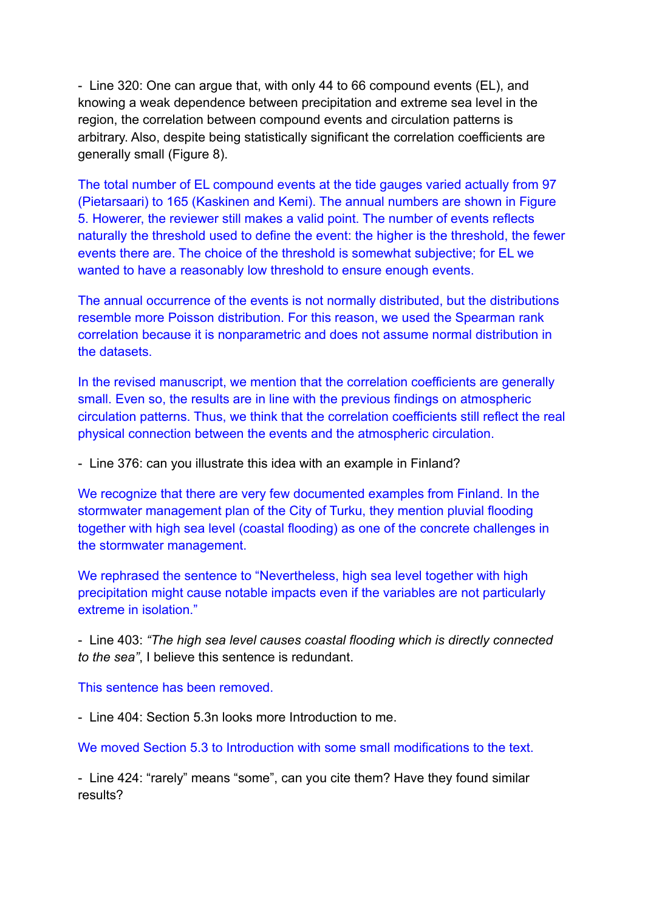- Line 320: One can argue that, with only 44 to 66 compound events (EL), and knowing a weak dependence between precipitation and extreme sea level in the region, the correlation between compound events and circulation patterns is arbitrary. Also, despite being statistically significant the correlation coefficients are generally small (Figure 8).

The total number of EL compound events at the tide gauges varied actually from 97 (Pietarsaari) to 165 (Kaskinen and Kemi). The annual numbers are shown in Figure 5. Howerer, the reviewer still makes a valid point. The number of events reflects naturally the threshold used to define the event: the higher is the threshold, the fewer events there are. The choice of the threshold is somewhat subjective; for EL we wanted to have a reasonably low threshold to ensure enough events.

The annual occurrence of the events is not normally distributed, but the distributions resemble more Poisson distribution. For this reason, we used the Spearman rank correlation because it is nonparametric and does not assume normal distribution in the datasets.

In the revised manuscript, we mention that the correlation coefficients are generally small. Even so, the results are in line with the previous findings on atmospheric circulation patterns. Thus, we think that the correlation coefficients still reflect the real physical connection between the events and the atmospheric circulation.

- Line 376: can you illustrate this idea with an example in Finland?

We recognize that there are very few documented examples from Finland. In the stormwater management plan of the City of Turku, they mention pluvial flooding together with high sea level (coastal flooding) as one of the concrete challenges in the stormwater management.

We rephrased the sentence to "Nevertheless, high sea level together with high precipitation might cause notable impacts even if the variables are not particularly extreme in isolation."

- Line 403: *"The high sea level causes coastal flooding which is directly connected to the sea"*, I believe this sentence is redundant.

This sentence has been removed.

- Line 404: Section 5.3n looks more Introduction to me.

We moved Section 5.3 to Introduction with some small modifications to the text.

- Line 424: "rarely" means "some", can you cite them? Have they found similar results?